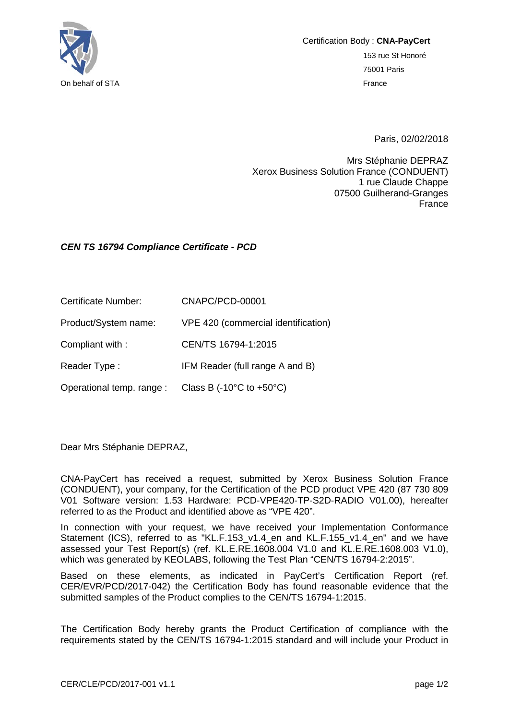

Paris, 02/02/2018

Mrs Stéphanie DEPRAZ Xerox Business Solution France (CONDUENT) 1 rue Claude Chappe 07500 Guilherand-Granges France

## *CEN TS 16794 Compliance Certificate - PCD*

Certificate Number: CNAPC/PCD-00001

Product/System name: VPE 420 (commercial identification)

Compliant with : CEN/TS 16794-1:2015

Reader Type : IFM Reader (full range A and B)

Operational temp. range : Class B (-10°C to +50°C)

Dear Mrs Stéphanie DEPRAZ,

CNA-PayCert has received a request, submitted by Xerox Business Solution France (CONDUENT), your company, for the Certification of the PCD product VPE 420 (87 730 809 V01 Software version: 1.53 Hardware: PCD-VPE420-TP-S2D-RADIO V01.00), hereafter referred to as the Product and identified above as "VPE 420".

In connection with your request, we have received your Implementation Conformance Statement (ICS), referred to as "KL.F.153 v1.4 en and KL.F.155 v1.4 en" and we have assessed your Test Report(s) (ref. KL.E.RE.1608.004 V1.0 and KL.E.RE.1608.003 V1.0), which was generated by KEOLABS, following the Test Plan "CEN/TS 16794-2:2015".

Based on these elements, as indicated in PayCert's Certification Report (ref. CER/EVR/PCD/2017-042) the Certification Body has found reasonable evidence that the submitted samples of the Product complies to the CEN/TS 16794-1:2015.

The Certification Body hereby grants the Product Certification of compliance with the requirements stated by the CEN/TS 16794-1:2015 standard and will include your Product in